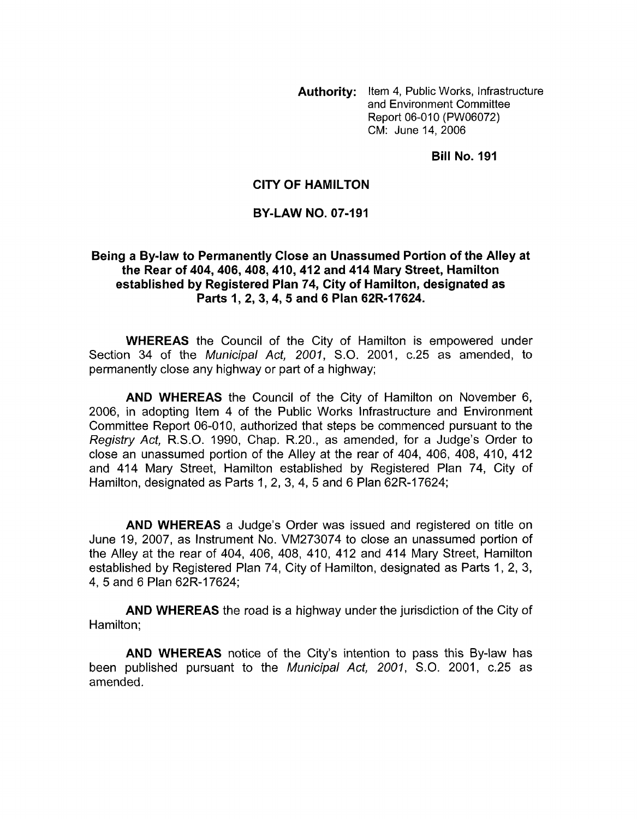**Authority:** Item **4,** Public Works, Infrastructure and Environment Committee Report 06-010 (PW06072) CM: June 14,2006

**Bill No. 191** 

## **CITY OF HAMILTON**

## **BY-LAW NO. 07-191**

## **Being a Bylaw to Permanently Close an Unassumed Portion of the Alley at the Rear of 404,406,408,410,412 and 414 Mary Street, Hamilton established by Registered Plan 74, City of Hamilton, designated as Parts I, 2,3,4,5 and 6 Plan 62R-17624.**

**WHEREAS** the Council of the City of Hamilton is empowered under Section 34 of the Municipal Act, *2001,* S.O. 2001, c.25 as amended, to permanently close any highway or part of a highway;

**AND WHEREAS** the Council of the City of Hamilton on November 6, 2006, in adopting Item 4 of the Public Works Infrastructure and Environment Committee Report 06-010, authorized that steps be commenced pursuant to the Registry Act, R.S.O. 1990, Chap. R.20., as amended, for a Judge's Order to close an unassumed portion of the Alley at the rear of 404, 406, 408, 410, 412 and 414 Mary Street, Hamilton established by Registered Plan 74, City of Hamilton, designated as Parts 1, 2, 3, 4, 5 and 6 Plan 62R-17624;

**AND WHEREAS** a Judge's Order was issued and registered on title on June 19, 2007, as Instrument No. VM273074 to close an unassumed portion of the Alley at the rear of 404, 406, 408, 410, 412 and 414 Mary Street, Hamilton established by Registered Plan 74, City of Hamilton, designated as Parts 1, 2, 3, 4, 5 and 6 Plan 62R-17624;

**AND WHEREAS** the road is a highway under the jurisdiction of the City of Hamilton;

**AND WHEREAS** notice of the City's intention to pass this By-law has been published pursuant to the Municipal Act, *2001,* S.O. 2001, c.25 as amended.